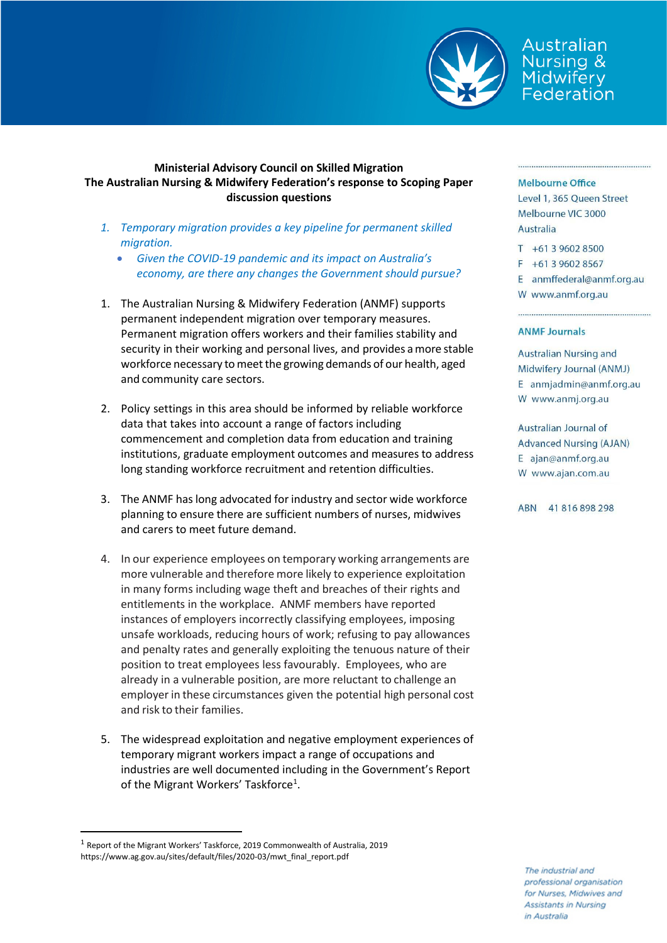

Australian Nursing & Midwifery<br>Federation

## **Ministerial Advisory Council on Skilled Migration The Australian Nursing & Midwifery Federation's response to Scoping Paper discussion questions**

- *1. Temporary migration provides a key pipeline for permanent skilled migration.*
	- *Given the COVID-19 pandemic and its impact on Australia's economy, are there any changes the Government should pursue?*
- 1. The Australian Nursing & Midwifery Federation (ANMF) supports permanent independent migration over temporary measures. Permanent migration offers workers and their families stability and security in their working and personal lives, and provides amore stable workforce necessary to meet the growing demands of our health, aged and community care sectors.
- 2. Policy settings in this area should be informed by reliable workforce data that takes into account a range of factors including commencement and completion data from education and training institutions, graduate employment outcomes and measures to address long standing workforce recruitment and retention difficulties.
- 3. The ANMF haslong advocated for industry and sector wide workforce planning to ensure there are sufficient numbers of nurses, midwives and carers to meet future demand.
- 4. In our experience employees on temporary working arrangements are more vulnerable and therefore more likely to experience exploitation in many forms including wage theft and breaches of their rights and entitlements in the workplace. ANMF members have reported instances of employers incorrectly classifying employees, imposing unsafe workloads, reducing hours of work; refusing to pay allowances and penalty rates and generally exploiting the tenuous nature of their position to treat employees less favourably. Employees, who are already in a vulnerable position, are more reluctant to challenge an employer in these circumstances given the potential high personal cost and risk to their families.
- 5. The widespread exploitation and negative employment experiences of temporary migrant workers impact a range of occupations and industries are well documented including in the Government's Report of the Migrant Workers' Taskforce<sup>[1](#page-0-0)</sup>.

## **Melbourne Office**

Level 1, 365 Queen Street Melbourne VIC 3000 Australia

T +61 3 9602 8500

 $F + 61396028567$ 

E anmffederal@anmf.org.au W www.anmf.org.au

## **ANME Journals**

**Australian Nursing and** Midwifery Journal (ANMJ) E anmjadmin@anmf.org.au W www.anmj.org.au

Australian Journal of **Advanced Nursing (AJAN)** E ajan@anmf.org.au W www.ajan.com.au

ABN 41816898298

The industrial and professional organisation for Nurses, Midwives and **Assistants in Nursing** in Australia

<span id="page-0-0"></span> <sup>1</sup> Report of the Migrant Workers' Taskforce, 2019 Commonwealth of Australia, 2019 https://www.ag.gov.au/sites/default/files/2020-03/mwt\_final\_report.pdf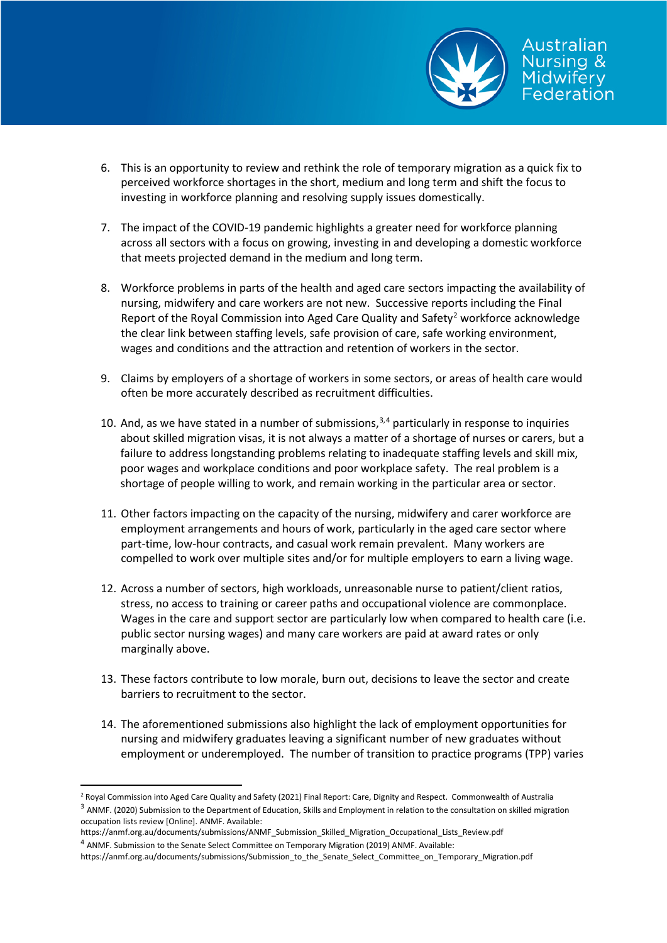

- 6. This is an opportunity to review and rethink the role of temporary migration as a quick fix to perceived workforce shortages in the short, medium and long term and shift the focus to investing in workforce planning and resolving supply issues domestically.
- 7. The impact of the COVID-19 pandemic highlights a greater need for workforce planning across all sectors with a focus on growing, investing in and developing a domestic workforce that meets projected demand in the medium and long term.
- 8. Workforce problems in parts of the health and aged care sectors impacting the availability of nursing, midwifery and care workers are not new. Successive reports including the Final Report of the Royal Commission into Aged Care Quality and Safety<sup>[2](#page-1-0)</sup> workforce acknowledge the clear link between staffing levels, safe provision of care, safe working environment, wages and conditions and the attraction and retention of workers in the sector.
- 9. Claims by employers of a shortage of workers in some sectors, or areas of health care would often be more accurately described as recruitment difficulties.
- 10. And, as we have stated in a number of submissions, $3,4$  $3,4$  $3,4$  particularly in response to inquiries about skilled migration visas, it is not always a matter of a shortage of nurses or carers, but a failure to address longstanding problems relating to inadequate staffing levels and skill mix, poor wages and workplace conditions and poor workplace safety. The real problem is a shortage of people willing to work, and remain working in the particular area or sector.
- 11. Other factors impacting on the capacity of the nursing, midwifery and carer workforce are employment arrangements and hours of work, particularly in the aged care sector where part-time, low-hour contracts, and casual work remain prevalent. Many workers are compelled to work over multiple sites and/or for multiple employers to earn a living wage.
- 12. Across a number of sectors, high workloads, unreasonable nurse to patient/client ratios, stress, no access to training or career paths and occupational violence are commonplace. Wages in the care and support sector are particularly low when compared to health care (i.e. public sector nursing wages) and many care workers are paid at award rates or only marginally above.
- 13. These factors contribute to low morale, burn out, decisions to leave the sector and create barriers to recruitment to the sector.
- 14. The aforementioned submissions also highlight the lack of employment opportunities for nursing and midwifery graduates leaving a significant number of new graduates without employment or underemployed. The number of transition to practice programs (TPP) varies

<span id="page-1-1"></span><span id="page-1-0"></span><sup>&</sup>lt;sup>2</sup> Royal Commission into Aged Care Quality and Safety (2021) Final Report: Care, Dignity and Respect. Commonwealth of Australia <sup>3</sup> ANMF. (2020) Submission to the Department of Education, Skills and Employment in relation to the consultation on skilled migration occupation lists review [Online]. ANMF. Available:

https://anmf.org.au/documents/submissions/ANMF\_Submission\_Skilled\_Migration\_Occupational\_Lists\_Review.pdf <sup>4</sup> ANMF. Submission to the Senate Select Committee on Temporary Migration (2019) ANMF. Available:

<span id="page-1-2"></span>https://anmf.org.au/documents/submissions/Submission\_to\_the\_Senate\_Select\_Committee\_on\_Temporary\_Migration.pdf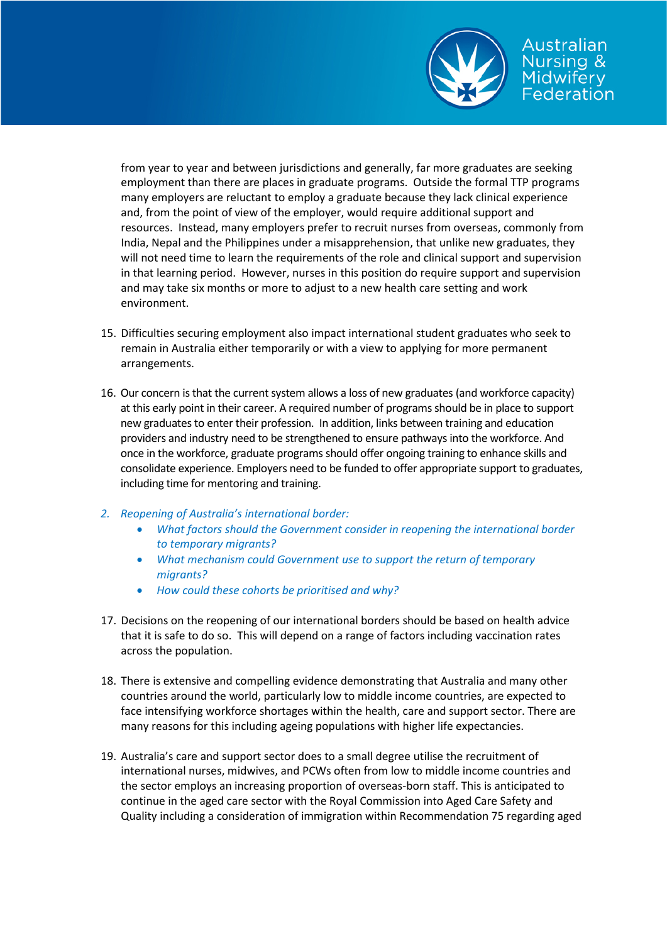

from year to year and between jurisdictions and generally, far more graduates are seeking employment than there are places in graduate programs. Outside the formal TTP programs many employers are reluctant to employ a graduate because they lack clinical experience and, from the point of view of the employer, would require additional support and resources. Instead, many employers prefer to recruit nurses from overseas, commonly from India, Nepal and the Philippines under a misapprehension, that unlike new graduates, they will not need time to learn the requirements of the role and clinical support and supervision in that learning period. However, nurses in this position do require support and supervision and may take six months or more to adjust to a new health care setting and work environment.

- 15. Difficulties securing employment also impact international student graduates who seek to remain in Australia either temporarily or with a view to applying for more permanent arrangements.
- 16. Our concern is that the current system allows a loss of new graduates (and workforce capacity) at this early point in their career. A required number of programs should be in place to support new graduates to enter their profession. In addition, links between training and education providers and industry need to be strengthened to ensure pathways into the workforce. And once in the workforce, graduate programs should offer ongoing training to enhance skills and consolidate experience. Employers need to be funded to offer appropriate support to graduates, including time for mentoring and training.
- *2. Reopening of Australia's international border:*
	- *What factors should the Government consider in reopening the international border to temporary migrants?*
	- *What mechanism could Government use to support the return of temporary migrants?*
	- *How could these cohorts be prioritised and why?*
- 17. Decisions on the reopening of our international borders should be based on health advice that it is safe to do so. This will depend on a range of factors including vaccination rates across the population.
- 18. There is extensive and compelling evidence demonstrating that Australia and many other countries around the world, particularly low to middle income countries, are expected to face intensifying workforce shortages within the health, care and support sector. There are many reasons for this including ageing populations with higher life expectancies.
- 19. Australia's care and support sector does to a small degree utilise the recruitment of international nurses, midwives, and PCWs often from low to middle income countries and the sector employs an increasing proportion of overseas-born staff. This is anticipated to continue in the aged care sector with the Royal Commission into Aged Care Safety and Quality including a consideration of immigration within Recommendation 75 regarding aged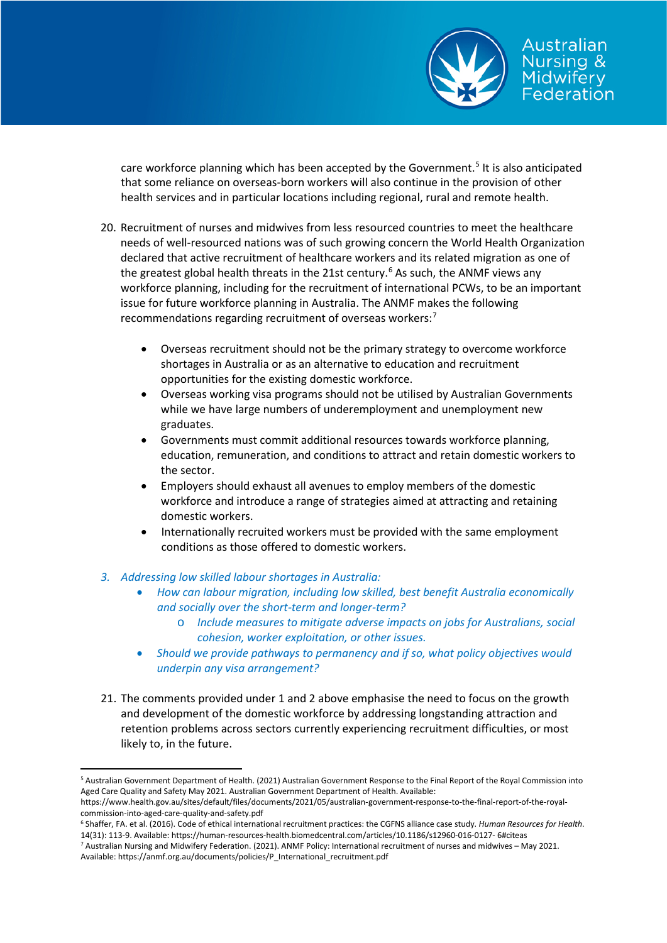

care workforce planning which has been accepted by the Government.<sup>[5](#page-3-0)</sup> It is also anticipated that some reliance on overseas-born workers will also continue in the provision of other health services and in particular locations including regional, rural and remote health.

- 20. Recruitment of nurses and midwives from less resourced countries to meet the healthcare needs of well-resourced nations was of such growing concern the World Health Organization declared that active recruitment of healthcare workers and its related migration as one of the greatest global health threats in the 21st century.<sup>[6](#page-3-1)</sup> As such, the ANMF views any workforce planning, including for the recruitment of international PCWs, to be an important issue for future workforce planning in Australia. The ANMF makes the following recommendations regarding recruitment of overseas workers:[7](#page-3-2)
	- Overseas recruitment should not be the primary strategy to overcome workforce shortages in Australia or as an alternative to education and recruitment opportunities for the existing domestic workforce.
	- Overseas working visa programs should not be utilised by Australian Governments while we have large numbers of underemployment and unemployment new graduates.
	- Governments must commit additional resources towards workforce planning, education, remuneration, and conditions to attract and retain domestic workers to the sector.
	- Employers should exhaust all avenues to employ members of the domestic workforce and introduce a range of strategies aimed at attracting and retaining domestic workers.
	- Internationally recruited workers must be provided with the same employment conditions as those offered to domestic workers.
- *3. Addressing low skilled labour shortages in Australia:*
	- *How can labour migration, including low skilled, best benefit Australia economically and socially over the short-term and longer-term?*
		- o *Include measures to mitigate adverse impacts on jobs for Australians, social cohesion, worker exploitation, or other issues.*
	- *Should we provide pathways to permanency and if so, what policy objectives would underpin any visa arrangement?*
- 21. The comments provided under 1 and 2 above emphasise the need to focus on the growth and development of the domestic workforce by addressing longstanding attraction and retention problems across sectors currently experiencing recruitment difficulties, or most likely to, in the future.

<span id="page-3-0"></span> <sup>5</sup> Australian Government Department of Health. (2021) Australian Government Response to the Final Report of the Royal Commission into Aged Care Quality and Safety May 2021. Australian Government Department of Health. Available:

https://www.health.gov.au/sites/default/files/documents/2021/05/australian-government-response-to-the-final-report-of-the-royalcommission-into-aged-care-quality-and-safety.pdf

<span id="page-3-1"></span><sup>6</sup> Shaffer, FA. et al. (2016). Code of ethical international recruitment practices: the CGFNS alliance case study. *Human Resources for Health*. 14(31): 113-9. Available: https://human-resources-health.biomedcentral.com/articles/10.1186/s12960-016-0127- 6#citeas

<span id="page-3-2"></span><sup>7</sup> Australian Nursing and Midwifery Federation. (2021). ANMF Policy: International recruitment of nurses and midwives – May 2021. Available: https://anmf.org.au/documents/policies/P\_International\_recruitment.pdf